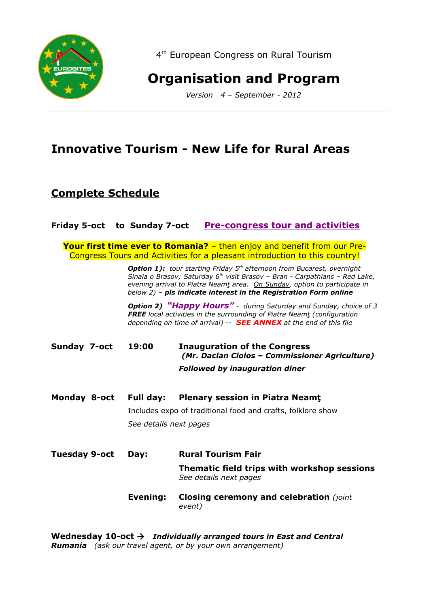

4<sup>th</sup> European Congress on Rural Tourism

# **Organisation and Program**

*Version 4 – September - 2012*

## **Innovative Tourism - New Life for Rural Areas**

## **Complete Schedule**

|                      | Friday 5-oct to Sunday 7-oct                                | <b>Pre-congress tour and activities</b>                                                                                                                                                                                                                                                                                               |  |  |  |
|----------------------|-------------------------------------------------------------|---------------------------------------------------------------------------------------------------------------------------------------------------------------------------------------------------------------------------------------------------------------------------------------------------------------------------------------|--|--|--|
|                      |                                                             | Your first time ever to Romania? - then enjoy and benefit from our Pre-<br>Congress Tours and Activities for a pleasant introduction to this country!                                                                                                                                                                                 |  |  |  |
|                      |                                                             | <b>Option 1):</b> tour starting Friday 5 <sup>th</sup> afternoon from Bucarest, overnight<br>Sinaia o Brasov; Saturday 6 <sup>th</sup> visit Brasov - Bran - Carpathians - Red Lake,<br>evening arrival to Piatra Neamt area. On Sunday, option to participate in<br>below 2) - pls indicate interest in the Registration Form online |  |  |  |
|                      |                                                             | <b>Option 2) "Happy Hours"</b> - during Saturday and Sunday, choice of 3<br><b>FREE</b> local activities in the surrounding of Piatra Neamt (configuration<br>depending on time of arrival) -- <b>SEE ANNEX</b> at the end of this file                                                                                               |  |  |  |
| Sunday 7-oct         | 19:00                                                       | <b>Inauguration of the Congress</b><br>(Mr. Dacian Ciolos - Commissioner Agriculture)                                                                                                                                                                                                                                                 |  |  |  |
|                      |                                                             | <b>Followed by inauguration diner</b>                                                                                                                                                                                                                                                                                                 |  |  |  |
| Monday 8-oct         | <b>Full day:</b>                                            | <b>Plenary session in Piatra Neamt</b>                                                                                                                                                                                                                                                                                                |  |  |  |
|                      | Includes expo of traditional food and crafts, folklore show |                                                                                                                                                                                                                                                                                                                                       |  |  |  |
|                      |                                                             | See details next pages                                                                                                                                                                                                                                                                                                                |  |  |  |
| <b>Tuesday 9-oct</b> | Day:                                                        | <b>Rural Tourism Fair</b>                                                                                                                                                                                                                                                                                                             |  |  |  |
|                      |                                                             | Thematic field trips with workshop sessions<br>See details next pages                                                                                                                                                                                                                                                                 |  |  |  |
|                      | Evening:                                                    | <b>Closing ceremony and celebration</b> (joint<br>event)                                                                                                                                                                                                                                                                              |  |  |  |
|                      |                                                             |                                                                                                                                                                                                                                                                                                                                       |  |  |  |

**Wednesday 10-oct** *Individually arranged tours in East and Central Rumania (ask our travel agent, or by your own arrangement)*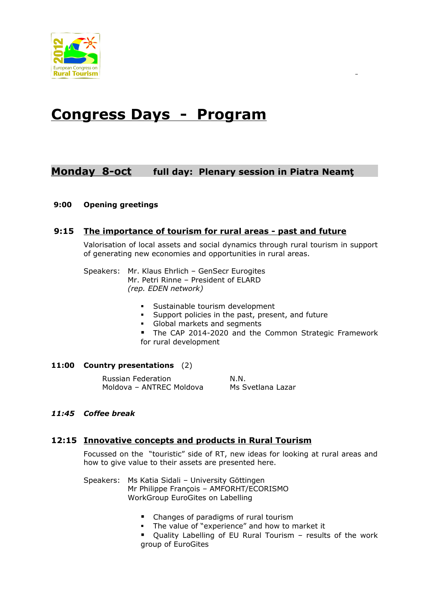

# **Congress Days - Program**

## **Monday 8-oct full day: Plenary session in Piatra Neamţ**

#### **9:00 Opening greetings**

#### **9:15 The importance of tourism for rural areas - past and future**

Valorisation of local assets and social dynamics through rural tourism in support of generating new economies and opportunities in rural areas.

Speakers: Mr. Klaus Ehrlich – GenSecr Eurogites Mr. Petri Rinne – President of ELARD *(rep. EDEN network)*

- Sustainable tourism development
- Support policies in the past, present, and future
- Global markets and segments
- The CAP 2014-2020 and the Common Strategic Framework for rural development

#### **11:00 Country presentations** (2)

Russian Federation N.N. Moldova – ANTREC Moldova Ms Svetlana Lazar

#### *11:45 Coffee break*

#### **12:15 Innovative concepts and products in Rural Tourism**

Focussed on the "touristic" side of RT, new ideas for looking at rural areas and how to give value to their assets are presented here.

- Speakers: Ms Katia Sidali University Göttingen Mr Philippe François – AMFORHT/ECORISMO WorkGroup EuroGites on Labelling
	- Changes of paradigms of rural tourism
	- **The value of "experience" and how to market it**
	- Quality Labelling of EU Rural Tourism results of the work group of EuroGites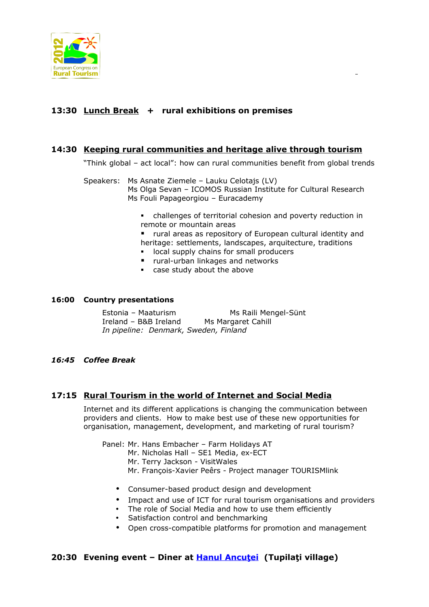

#### **13:30 Lunch Break + rural exhibitions on premises**

#### **14:30 Keeping rural communities and heritage alive through tourism**

"Think global – act local": how can rural communities benefit from global trends

- Speakers: Ms Asnate Ziemele Lauku Celotajs (LV) Ms Olga Sevan – ICOMOS Russian Institute for Cultural Research Ms Fouli Papageorgiou – Euracademy
	- challenges of territorial cohesion and poverty reduction in remote or mountain areas
	- rural areas as repository of European cultural identity and heritage: settlements, landscapes, arquitecture, traditions
	- **In local supply chains for small producers**
	- **F** rural-urban linkages and networks
	- case study about the above

#### **16:00 Country presentations**

Estonia – Maaturism Ms Raili Mengel-Sünt Ireland – B&B Ireland Ms Margaret Cahill *In pipeline: Denmark, Sweden, Finland*

*16:45 Coffee Break*

#### **17:15 Rural Tourism in the world of Internet and Social Media**

Internet and its different applications is changing the communication between providers and clients. How to make best use of these new opportunities for organisation, management, development, and marketing of rural tourism?

Panel: Mr. Hans Embacher – Farm Holidays AT Mr. Nicholas Hall – SE1 Media, ex-ECT Mr. Terry Jackson - VisitWales Mr. François-Xavier Peêrs - Project manager TOURISMlink

- Consumer-based product design and development
- Impact and use of ICT for rural tourism organisations and providers
- The role of Social Media and how to use them efficiently
- Satisfaction control and benchmarking
- Open cross-compatible platforms for promotion and management

#### **20:30 Evening event – Diner at [Hanul Ancu ţei](http://www.hanu-ancutei.ro/) (Tupilaţi village)**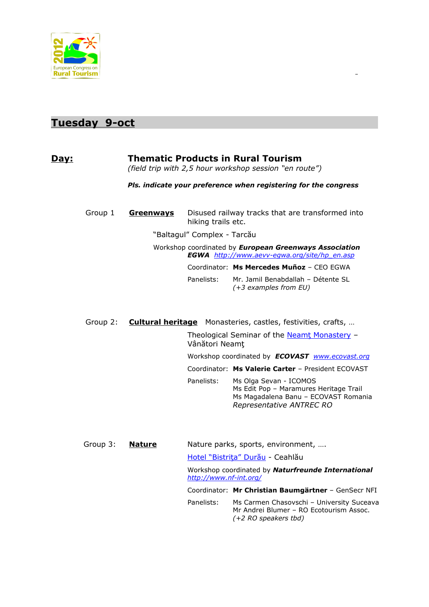

## **Tuesday 9-oct**

#### **Day:** Thematic Products in Rural Tourism

*(field trip with 2,5 hour workshop session "en route")* 

*Pls. indicate your preference when registering for the congress*

| Group 1 | Greenways | hiking trails etc.                                                                                                   | Disused railway tracks that are transformed into              |  |  |
|---------|-----------|----------------------------------------------------------------------------------------------------------------------|---------------------------------------------------------------|--|--|
|         |           | "Baltagul" Complex - Tarcău                                                                                          |                                                               |  |  |
|         |           | Workshop coordinated by <b>European Greenways Association</b><br><b>EGWA</b> http://www.aevv-eqwa.org/site/hp en.asp |                                                               |  |  |
|         |           |                                                                                                                      | Coordinator: Ms Mercedes Muñoz - CEO EGWA                     |  |  |
|         |           | Panelists:                                                                                                           | Mr. Jamil Benabdallah - Détente SL<br>$(+3$ examples from EU) |  |  |

Group 2: **Cultural heritage** Monasteries, castles, festivities, crafts, …

Theological Seminar of the Neamt Monastery -Vânători Neamţ

Workshop coordinated by *ECOVAST [www.ecovast.org](http://www.ecovast.org/)*

Coordinator: **Ms Valerie Carter** – President ECOVAST

Panelists: Ms Olga Sevan - ICOMOS Ms Edit Pop – Maramures Heritage Trail Ms Magadalena Banu – ECOVAST Romania *Representative ANTREC RO*

Group 3: **Nature** Nature parks, sports, environment, ….

[Hotel "Bistriţa" Durău](http://www.bistrita-romania.ro/en/) - Ceahlău

Workshop coordinated by *Naturfreunde International <http://www.nf-int.org/>*

Coordinator: **Mr Christian Baumgärtner** – GenSecr NFI

Panelists: Ms Carmen Chasovschi - University Suceava Mr Andrei Blumer – RO Ecotourism Assoc. *(+2 RO speakers tbd)*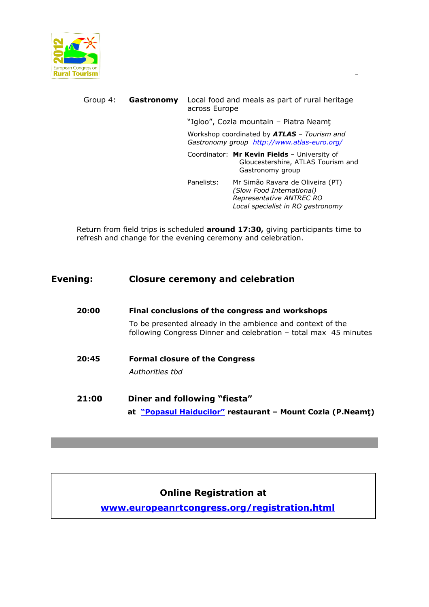

### Group 4: **Gastronomy** Local food and meals as part of rural heritage across Europe

"Igloo", Cozla mountain – Piatra Neamţ

Workshop coordinated by *ATLAS – Tourism and Gastronomy group <http://www.atlas-euro.org/>*

Coordinator: **Mr Kevin Fields** – University of Gloucestershire, ATLAS Tourism and Gastronomy group

Panelists: Mr Simão Ravara de Oliveira (PT) *(Slow Food International) Representative ANTREC RO Local specialist in RO gastronomy* 

Return from field trips is scheduled **around 17:30,** giving participants time to refresh and change for the evening ceremony and celebration.

#### **Evening: Closure ceremony and celebration**

| 20:00 | Final conclusions of the congress and workshops                                                                                |  |  |  |  |
|-------|--------------------------------------------------------------------------------------------------------------------------------|--|--|--|--|
|       | To be presented already in the ambience and context of the<br>following Congress Dinner and celebration – total max 45 minutes |  |  |  |  |
| 20:45 | <b>Formal closure of the Congress</b><br>Authorities thd                                                                       |  |  |  |  |
| 21:00 | Diner and following "fiesta"<br>at "Popasul Haiducilor" restaurant - Mount Cozla (P.Neamt)                                     |  |  |  |  |

#### **Online Registration at**

**[www.europeanrtcongress.org/registration.html](http://www.europeanrtcongress.org/registration.html)**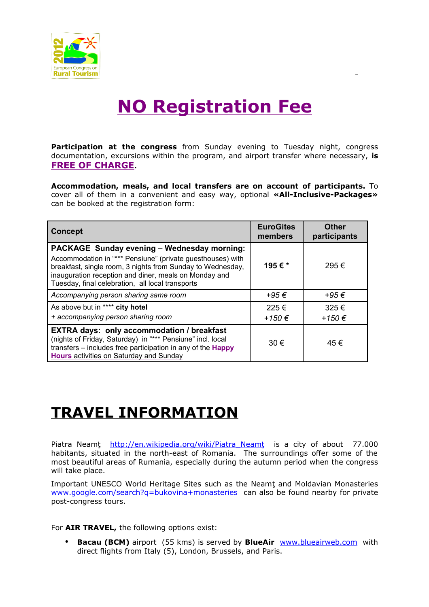

# **NO Registration Fee**

**Participation at the congress** from Sunday evening to Tuesday night, congress documentation, excursions within the program, and airport transfer where necessary, **is FREE OF CHARGE.**

**Accommodation, meals, and local transfers are on account of participants.** To cover all of them in a convenient and easy way, optional **«All-Inclusive-Packages»** can be booked at the registration form:

| <b>Concept</b>                                                                                                                                                                                                                                                                              | <b>EuroGites</b><br>members | <b>Other</b><br>participants |
|---------------------------------------------------------------------------------------------------------------------------------------------------------------------------------------------------------------------------------------------------------------------------------------------|-----------------------------|------------------------------|
| <b>PACKAGE Sunday evening - Wednesday morning:</b><br>Accommodation in "*** Pensiune" (private guesthouses) with<br>breakfast, single room, 3 nights from Sunday to Wednesday,<br>inauguration reception and diner, meals on Monday and<br>Tuesday, final celebration, all local transports | 195€*                       | 295€                         |
| Accompanying person sharing same room                                                                                                                                                                                                                                                       | +95 $\epsilon$              | +95 $\epsilon$               |
| As above but in **** city hotel<br>+ accompanying person sharing room                                                                                                                                                                                                                       | 225€<br>+150 €              | 325€<br>+150 €               |
| <b>EXTRA days: only accommodation / breakfast</b><br>(nights of Friday, Saturday) in "*** Pensiune" incl. local<br>transfers - includes free participation in any of the Happy<br><b>Hours</b> activities on Saturday and Sunday                                                            | 30 €                        | 45€                          |

# **TRAVEL INFORMATION**

Piatra Neamţ http://en.wikipedia.org/wiki/Piatra Neamţ is a city of about 77.000 habitants, situated in the north-east of Romania. The surroundings offer some of the most beautiful areas of Rumania, especially during the autumn period when the congress will take place.

Important UNESCO World Heritage Sites such as the Neamţ and Moldavian Monasteries [www.google.com/search?q=bukovina+monasteries](http://www.google.com/search?q=bukovina+monasteries) can also be found nearby for private post-congress tours.

For **AIR TRAVEL,** the following options exist:

• **Bacau (BCM)** airport (55 kms) is served by **BlueAir** [www.blueairweb.com](http://www.blueairweb.com/) with direct flights from Italy (5), London, Brussels, and Paris.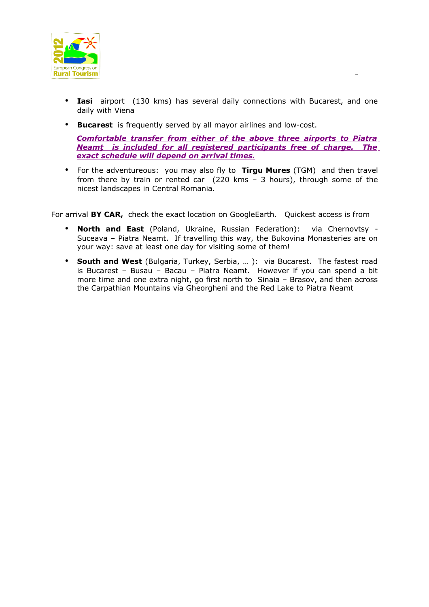

- **Iasi** airport (130 kms) has several daily connections with Bucarest, and one daily with Viena
- **Bucarest** is frequently served by all mayor airlines and low-cost.

*Comfortable transfer from either of the above three airports to Piatra Neamt is included for all registered participants free of charge. The exact schedule will depend on arrival times.*

• For the adventureous: you may also fly to **Tirgu Mures** (TGM) and then travel from there by train or rented car (220 kms – 3 hours), through some of the nicest landscapes in Central Romania.

For arrival **BY CAR,** check the exact location on GoogleEarth. Quickest access is from

- **North and East** (Poland, Ukraine, Russian Federation): via Chernovtsy Suceava – Piatra Neamt. If travelling this way, the Bukovina Monasteries are on your way: save at least one day for visiting some of them!
- **South and West** (Bulgaria, Turkey, Serbia, … ): via Bucarest. The fastest road is Bucarest – Busau – Bacau – Piatra Neamt. However if you can spend a bit more time and one extra night, go first north to Sinaia – Brasov, and then across the Carpathian Mountains via Gheorgheni and the Red Lake to Piatra Neamt